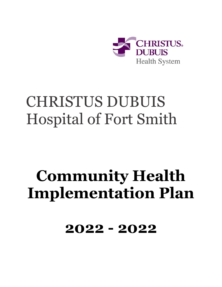

## CHRISTUS DUBUIS Hospital of Fort Smith

# **Community Health Implementation Plan**

**2022 - 2022**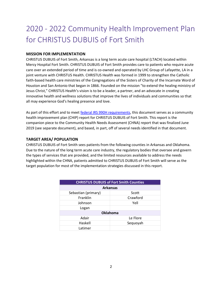### 2020 - 2022 Community Health Improvement Plan for CHRISTUS DUBUIS of Fort Smith

#### **MISSION FOR IMPLEMENTATION**

CHRISTUS DUBUIS of Fort Smith, Arkansas is a long term acute care hospital (LTACH) located within Mercy Hospital Fort Smith. CHRISTUS DUBUIS of Fort Smith provides care to patients who require acute care over an extended period of time and is co-owned and operated by LHC Group of Lafayette, LA in a joint venture with CHRISTUS Health. CHRISTUS Health was formed in 1999 to strengthen the Catholic faith-based health care ministries of the Congregations of the Sisters of Charity of the Incarnate Word of Houston and San Antonio that began in 1866. Founded on the mission "to extend the healing ministry of Jesus Christ," CHRISTUS Health's vision is to be a leader, a partner, and an advocate in creating innovative health and wellness solutions that improve the lives of individuals and communities so that all may experience God's healing presence and love.

As part of this effort and to meet [federal IRS 990H requirements,](https://www.irs.gov/uac/About-Schedule-H-Form-990) this document serves as a community health improvement plan (CHIP) report for CHRISTUS DUBUIS of Fort Smith. This report is the companion piece to the Community Health Needs Assessment (CHNA) report that was finalized June 2019 (see separate document), and based, in part, off of several needs identified in that document.

#### **TARGET AREA/ POPULATION**

CHRISTUS DUBUIS of Fort Smith sees patients from the following counties in Arkansas and Oklahoma. Due to the nature of the long term acute care industry, the regulatory bodies that oversee and govern the types of services that are provided, and the limited resources available to address the needs highlighted within the CHNA, patients admitted to CHRISTUS DUBUIS of Fort Smith will serve as the target population for most of the implementation strategies discussed in this report.

| <b>CHRISTUS DUBUIS of Fort Smith Counties</b> |          |  |
|-----------------------------------------------|----------|--|
| <b>Arkansas</b>                               |          |  |
| Sebastian (primary)                           | Scott    |  |
| Franklin                                      | Crawford |  |
| Johnson                                       | Yell     |  |
| Logan                                         |          |  |
| <b>Oklahoma</b>                               |          |  |
| Adair                                         | Le Flore |  |
| Haskell                                       | Sequoyah |  |
| Latimer                                       |          |  |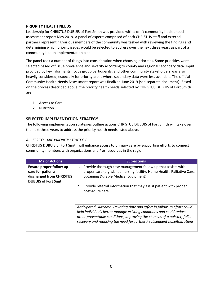#### **PRIORITY HEALTH NEEDS**

Leadership for CHRISTUS DUBUIS of Fort Smith was provided with a draft community health needs assessment report May 2019. A panel of experts comprised of both CHRISTUS staff and external partners representing various members of the community was tasked with reviewing the findings and determining which priority issues would be selected to address over the next three years as part of a community health implementation plan.

The panel took a number of things into consideration when choosing priorities. Some priorities were selected based off issue prevalence and severity according to county and regional secondary data. Input provided by key informants, focus group participants, and other community stakeholders was also heavily considered, especially for priority areas where secondary data were less available. The official Community Health Needs Assessment report was finalized June 2019 (see separate document). Based on the process described above, the priority health needs selected by CHRISTUS DUBUIS of Fort Smith are:

- 1. Access to Care
- 2. Nutrition

#### **SELECTED IMPLEMENTATION STRATEGY**

The following implementation strategies outline actions CHRISTUS DUBUIS of Fort Smith will take over the next three years to address the priority health needs listed above.

#### *ACCESS TO CARE PRIORITY STRATEGY*

CHRISTUS DUBUIS of Fort Smith will enhance access to primary care by supporting efforts to connect community members with organizations and / or resources in the region.

| <b>Major Actions</b>                                                                                    | <b>Sub-actions</b>                                                                                                                                                                                                                                                                                     |
|---------------------------------------------------------------------------------------------------------|--------------------------------------------------------------------------------------------------------------------------------------------------------------------------------------------------------------------------------------------------------------------------------------------------------|
| Ensure proper follow up<br>care for patients<br>discharged from CHRISTUS<br><b>DUBUIS of Fort Smith</b> | Provide thorough case management follow up that assists with<br>1.<br>proper care (e.g. skilled nursing facility, Home Health, Palliative Care,<br>obtaining Durable Medical Equipment)                                                                                                                |
|                                                                                                         | Provide referral information that may assist patient with proper<br>2.<br>post-acute care.                                                                                                                                                                                                             |
|                                                                                                         | Anticipated Outcome: Devoting time and effort in follow up effort could<br>help individuals better manage existing conditions and could reduce<br>other preventable conditions, improving the chances of a quicker, fuller<br>recovery and reducing the need for further / subsequent hospitalizations |